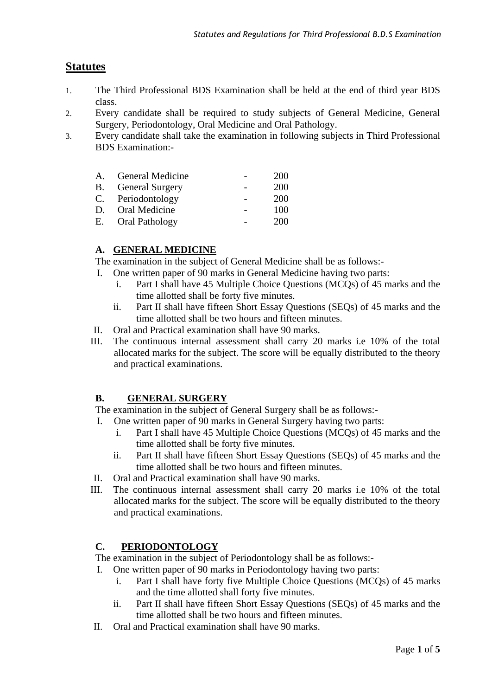# **Statutes**

- 1. The Third Professional BDS Examination shall be held at the end of third year BDS class.
- 2. Every candidate shall be required to study subjects of General Medicine, General Surgery, Periodontology, Oral Medicine and Oral Pathology.
- 3. Every candidate shall take the examination in following subjects in Third Professional BDS Examination:-

| A. General Medicine       | 200 |
|---------------------------|-----|
| <b>B.</b> General Surgery | 200 |
| C. Periodontology         | 200 |
| D. Oral Medicine          | 100 |
| E. Oral Pathology         | 200 |

### **A. GENERAL MEDICINE**

The examination in the subject of General Medicine shall be as follows:-

- I. One written paper of 90 marks in General Medicine having two parts:
	- i. Part I shall have 45 Multiple Choice Questions (MCQs) of 45 marks and the time allotted shall be forty five minutes.
	- ii. Part II shall have fifteen Short Essay Questions (SEQs) of 45 marks and the time allotted shall be two hours and fifteen minutes.
- II. Oral and Practical examination shall have 90 marks.
- III. The continuous internal assessment shall carry 20 marks i.e 10% of the total allocated marks for the subject. The score will be equally distributed to the theory and practical examinations.

#### **B. GENERAL SURGERY**

The examination in the subject of General Surgery shall be as follows:-

- I. One written paper of 90 marks in General Surgery having two parts:
	- i. Part I shall have 45 Multiple Choice Questions (MCQs) of 45 marks and the time allotted shall be forty five minutes.
	- ii. Part II shall have fifteen Short Essay Questions (SEQs) of 45 marks and the time allotted shall be two hours and fifteen minutes.
- II. Oral and Practical examination shall have 90 marks.
- III. The continuous internal assessment shall carry 20 marks i.e 10% of the total allocated marks for the subject. The score will be equally distributed to the theory and practical examinations.

# **C. PERIODONTOLOGY**

The examination in the subject of Periodontology shall be as follows:-

- I. One written paper of 90 marks in Periodontology having two parts:
	- i. Part I shall have forty five Multiple Choice Questions (MCQs) of 45 marks and the time allotted shall forty five minutes.
	- ii. Part II shall have fifteen Short Essay Questions (SEQs) of 45 marks and the time allotted shall be two hours and fifteen minutes.
- II. Oral and Practical examination shall have 90 marks.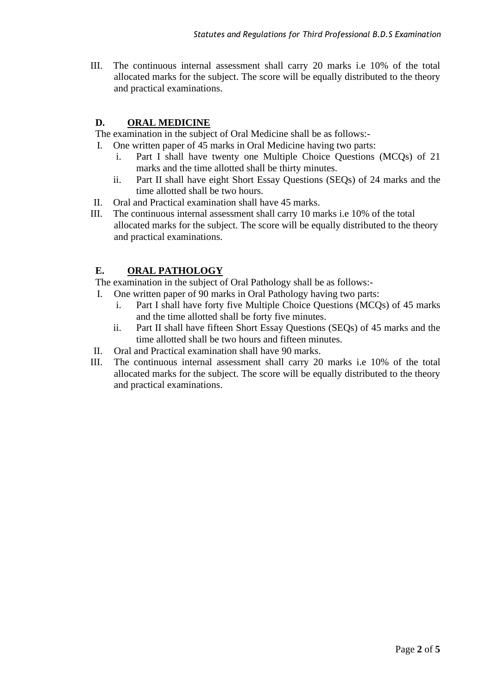III. The continuous internal assessment shall carry 20 marks i.e 10% of the total allocated marks for the subject. The score will be equally distributed to the theory and practical examinations.

## **D. ORAL MEDICINE**

The examination in the subject of Oral Medicine shall be as follows:-

- I. One written paper of 45 marks in Oral Medicine having two parts:
	- i. Part I shall have twenty one Multiple Choice Questions (MCQs) of 21 marks and the time allotted shall be thirty minutes.
	- ii. Part II shall have eight Short Essay Questions (SEQs) of 24 marks and the time allotted shall be two hours.
- II. Oral and Practical examination shall have 45 marks.
- III. The continuous internal assessment shall carry 10 marks i.e 10% of the total allocated marks for the subject. The score will be equally distributed to the theory and practical examinations.

# **E. ORAL PATHOLOGY**

The examination in the subject of Oral Pathology shall be as follows:-

- I. One written paper of 90 marks in Oral Pathology having two parts:
	- i. Part I shall have forty five Multiple Choice Questions (MCQs) of 45 marks and the time allotted shall be forty five minutes.
	- ii. Part II shall have fifteen Short Essay Questions (SEQs) of 45 marks and the time allotted shall be two hours and fifteen minutes.
- II. Oral and Practical examination shall have 90 marks.
- III. The continuous internal assessment shall carry 20 marks i.e 10% of the total allocated marks for the subject. The score will be equally distributed to the theory and practical examinations.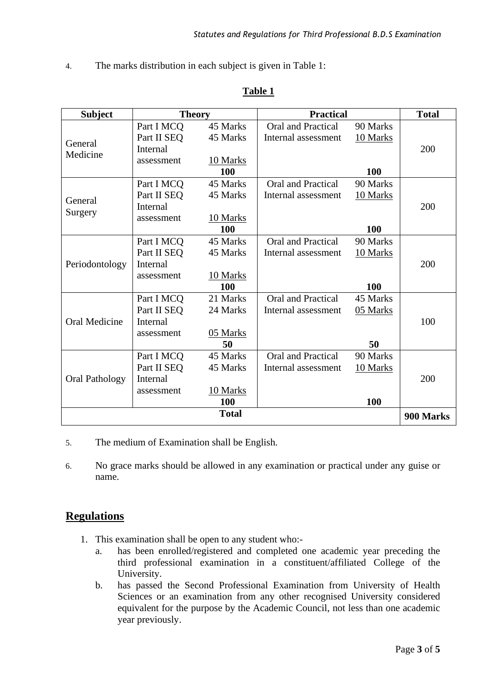4. The marks distribution in each subject is given in Table 1:

| <b>Subject</b>        | <b>Theory</b> |              | <b>Practical</b>          |          | <b>Total</b> |  |
|-----------------------|---------------|--------------|---------------------------|----------|--------------|--|
|                       | Part I MCQ    | 45 Marks     | Oral and Practical        | 90 Marks |              |  |
|                       | Part II SEQ   | 45 Marks     | Internal assessment       | 10 Marks | 200          |  |
| General<br>Medicine   | Internal      |              |                           |          |              |  |
|                       | assessment    | 10 Marks     |                           |          |              |  |
|                       |               | 100          |                           | 100      |              |  |
|                       | Part I MCQ    | 45 Marks     | Oral and Practical        | 90 Marks |              |  |
| General               | Part II SEQ   | 45 Marks     | Internal assessment       | 10 Marks |              |  |
|                       | Internal      |              |                           |          | 200          |  |
| Surgery               | assessment    | 10 Marks     |                           |          |              |  |
|                       |               | 100          |                           | 100      |              |  |
|                       | Part I MCQ    | 45 Marks     | <b>Oral and Practical</b> | 90 Marks |              |  |
|                       | Part II SEQ   | 45 Marks     | Internal assessment       | 10 Marks |              |  |
| Periodontology        | Internal      |              |                           |          | 200          |  |
|                       | assessment    | 10 Marks     |                           |          |              |  |
|                       |               | 100          |                           | 100      |              |  |
|                       | Part I MCQ    | 21 Marks     | <b>Oral and Practical</b> | 45 Marks |              |  |
|                       | Part II SEQ   | 24 Marks     | Internal assessment       | 05 Marks |              |  |
| <b>Oral Medicine</b>  | Internal      |              |                           |          | 100          |  |
|                       | assessment    | 05 Marks     |                           |          |              |  |
|                       |               | 50           |                           | 50       |              |  |
|                       | Part I MCQ    | 45 Marks     | Oral and Practical        | 90 Marks |              |  |
|                       | Part II SEQ   | 45 Marks     | Internal assessment       | 10 Marks |              |  |
| <b>Oral Pathology</b> | Internal      |              |                           |          | 200          |  |
|                       | assessment    | 10 Marks     |                           |          |              |  |
|                       |               | <b>100</b>   |                           | 100      |              |  |
|                       |               | <b>Total</b> |                           |          | 900 Marks    |  |

#### **Table 1**

- 5. The medium of Examination shall be English.
- 6. No grace marks should be allowed in any examination or practical under any guise or name.

### **Regulations**

- 1. This examination shall be open to any student who:
	- a. has been enrolled/registered and completed one academic year preceding the third professional examination in a constituent/affiliated College of the University.
	- b. has passed the Second Professional Examination from University of Health Sciences or an examination from any other recognised University considered equivalent for the purpose by the Academic Council, not less than one academic year previously.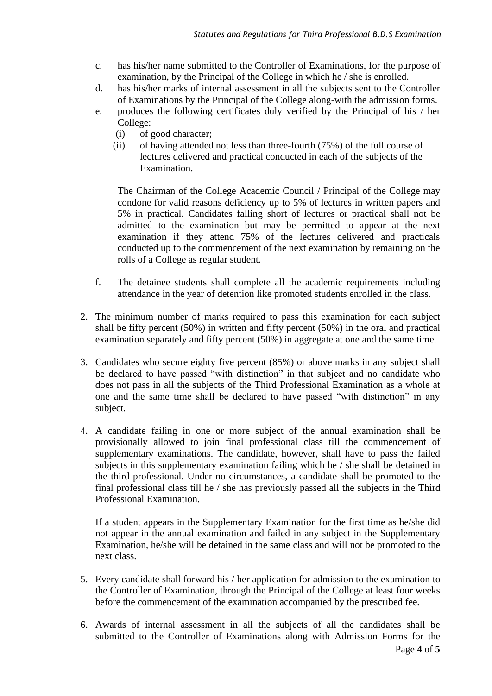- c. has his/her name submitted to the Controller of Examinations, for the purpose of examination, by the Principal of the College in which he / she is enrolled.
- d. has his/her marks of internal assessment in all the subjects sent to the Controller of Examinations by the Principal of the College along-with the admission forms.
- e. produces the following certificates duly verified by the Principal of his / her College:
	- (i) of good character;
	- (ii) of having attended not less than three-fourth (75%) of the full course of lectures delivered and practical conducted in each of the subjects of the Examination.

The Chairman of the College Academic Council / Principal of the College may condone for valid reasons deficiency up to 5% of lectures in written papers and 5% in practical. Candidates falling short of lectures or practical shall not be admitted to the examination but may be permitted to appear at the next examination if they attend 75% of the lectures delivered and practicals conducted up to the commencement of the next examination by remaining on the rolls of a College as regular student.

- f. The detainee students shall complete all the academic requirements including attendance in the year of detention like promoted students enrolled in the class.
- 2. The minimum number of marks required to pass this examination for each subject shall be fifty percent (50%) in written and fifty percent (50%) in the oral and practical examination separately and fifty percent (50%) in aggregate at one and the same time.
- 3. Candidates who secure eighty five percent (85%) or above marks in any subject shall be declared to have passed "with distinction" in that subject and no candidate who does not pass in all the subjects of the Third Professional Examination as a whole at one and the same time shall be declared to have passed "with distinction" in any subject.
- 4. A candidate failing in one or more subject of the annual examination shall be provisionally allowed to join final professional class till the commencement of supplementary examinations. The candidate, however, shall have to pass the failed subjects in this supplementary examination failing which he / she shall be detained in the third professional. Under no circumstances, a candidate shall be promoted to the final professional class till he / she has previously passed all the subjects in the Third Professional Examination.

If a student appears in the Supplementary Examination for the first time as he/she did not appear in the annual examination and failed in any subject in the Supplementary Examination, he/she will be detained in the same class and will not be promoted to the next class.

- 5. Every candidate shall forward his / her application for admission to the examination to the Controller of Examination, through the Principal of the College at least four weeks before the commencement of the examination accompanied by the prescribed fee.
- 6. Awards of internal assessment in all the subjects of all the candidates shall be submitted to the Controller of Examinations along with Admission Forms for the